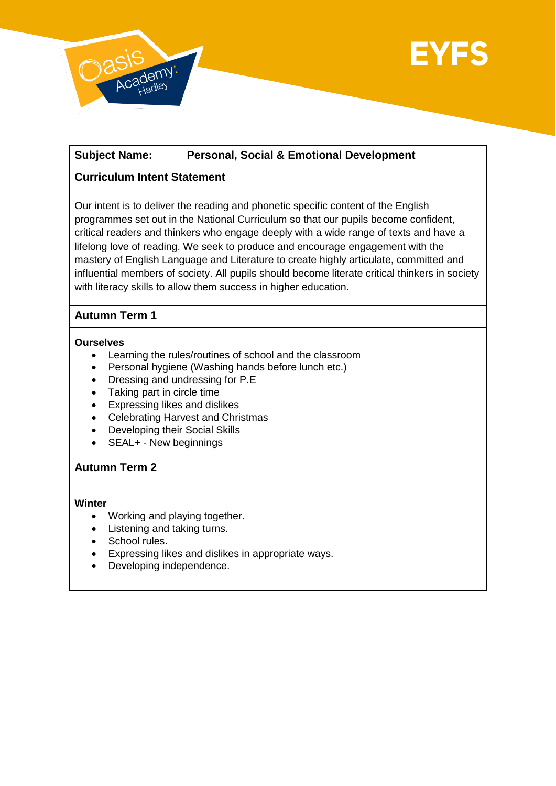

# **Subject Name: Personal, Social & Emotional Development**

## **Curriculum Intent Statement**

Our intent is to deliver the reading and phonetic specific content of the English programmes set out in the National Curriculum so that our pupils become confident, critical readers and thinkers who engage deeply with a wide range of texts and have a lifelong love of reading. We seek to produce and encourage engagement with the mastery of English Language and Literature to create highly articulate, committed and influential members of society. All pupils should become literate critical thinkers in society with literacy skills to allow them success in higher education.

# **Autumn Term 1**

### **Ourselves**

- Learning the rules/routines of school and the classroom
- Personal hygiene (Washing hands before lunch etc.)
- Dressing and undressing for P.E
- Taking part in circle time
- Expressing likes and dislikes
- Celebrating Harvest and Christmas
- Developing their Social Skills
- SEAL+ New beginnings

### **Autumn Term 2**

#### **Winter**

- Working and playing together.
- Listening and taking turns.
- School rules.
- Expressing likes and dislikes in appropriate ways.
- Developing independence.